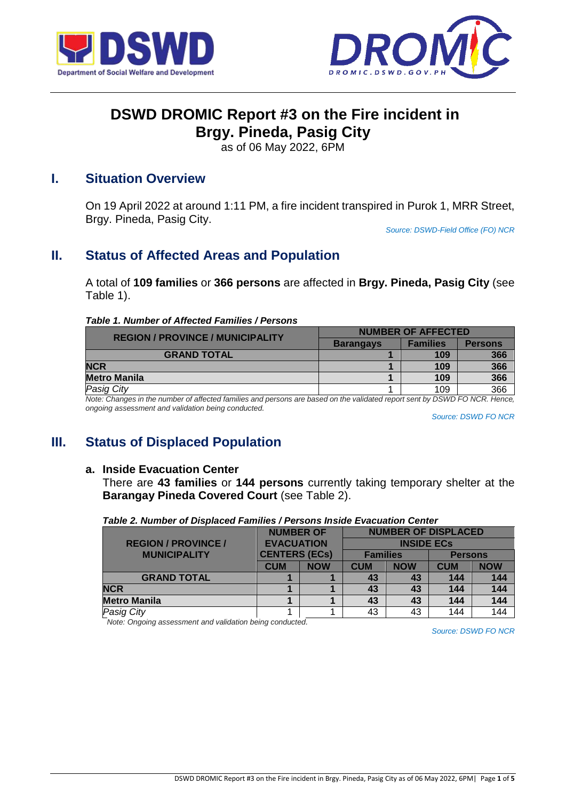



# **DSWD DROMIC Report #3 on the Fire incident in Brgy. Pineda, Pasig City**

as of 06 May 2022, 6PM

## **I. Situation Overview**

On 19 April 2022 at around 1:11 PM, a fire incident transpired in Purok 1, MRR Street, Brgy. Pineda, Pasig City.

*Source: DSWD-Field Office (FO) NCR*

# **II. Status of Affected Areas and Population**

A total of **109 families** or **366 persons** are affected in **Brgy. Pineda, Pasig City** (see Table 1).

#### *Table 1. Number of Affected Families / Persons*

| <b>REGION / PROVINCE / MUNICIPALITY</b> | <b>NUMBER OF AFFECTED</b> |                 |                |  |
|-----------------------------------------|---------------------------|-----------------|----------------|--|
|                                         | <b>Barangays</b>          | <b>Families</b> | <b>Persons</b> |  |
| <b>GRAND TOTAL</b>                      |                           | 109             | 366            |  |
| <b>NCR</b>                              |                           | 109             | 366            |  |
| <b>Metro Manila</b>                     |                           | 109             | 366            |  |
| <b>Pasig City</b>                       |                           | 109             | 366            |  |

*Note: Changes in the number of affected families and persons are based on the validated report sent by DSWD FO NCR. Hence, ongoing assessment and validation being conducted.* 

*Source: DSWD FO NCR*

# **III. Status of Displaced Population**

#### **a. Inside Evacuation Center**

There are **43 families** or **144 persons** currently taking temporary shelter at the **Barangay Pineda Covered Court** (see Table 2).

|                            | <b>NUMBER OF</b>     |            | <b>NUMBER OF DISPLACED</b> |            |                |            |
|----------------------------|----------------------|------------|----------------------------|------------|----------------|------------|
| <b>REGION / PROVINCE /</b> | <b>EVACUATION</b>    |            | <b>INSIDE ECS</b>          |            |                |            |
| <b>MUNICIPALITY</b>        | <b>CENTERS (ECs)</b> |            | <b>Families</b>            |            | <b>Persons</b> |            |
|                            | <b>CUM</b>           | <b>NOW</b> | <b>CUM</b>                 | <b>NOW</b> | <b>CUM</b>     | <b>NOW</b> |
| <b>GRAND TOTAL</b>         |                      |            | 43                         | 43         | 144            | 144        |
| <b>NCR</b>                 |                      |            | 43                         | 43         | 144            | 144        |
| <b>Metro Manila</b>        |                      |            | 43                         | 43         | 144            | 144        |
| <b>Pasig City</b>          |                      |            | 43                         | 43         | 144            | 144        |

*Table 2. Number of Displaced Families / Persons Inside Evacuation Center*

*Note: Ongoing assessment and validation being conducted.*

*Source: DSWD FO NCR*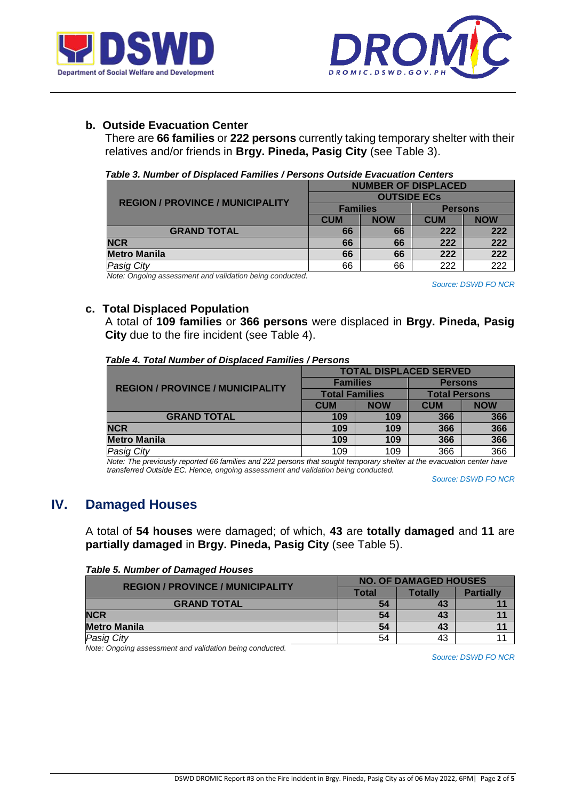



## **b. Outside Evacuation Center**

There are **66 families** or **222 persons** currently taking temporary shelter with their relatives and/or friends in **Brgy. Pineda, Pasig City** (see Table 3).

| Table 3. Number of Displaced Families / Persons Outside Evacuation Centers |  |
|----------------------------------------------------------------------------|--|

|                                         | <b>NUMBER OF DISPLACED</b> |            |                |            |  |
|-----------------------------------------|----------------------------|------------|----------------|------------|--|
| <b>REGION / PROVINCE / MUNICIPALITY</b> | <b>OUTSIDE ECS</b>         |            |                |            |  |
|                                         | <b>Families</b>            |            | <b>Persons</b> |            |  |
|                                         | <b>CUM</b>                 | <b>NOW</b> | <b>CUM</b>     | <b>NOW</b> |  |
| <b>GRAND TOTAL</b>                      | 66                         | 66         | 222            | 222        |  |
| <b>NCR</b>                              | 66                         | 66         | 222            | 222        |  |
| <b>Metro Manila</b>                     | 66                         | 66         | 222            | 222        |  |
| <b>Pasig City</b>                       | 66                         | 66         | 222            | 222        |  |

*Note: Ongoing assessment and validation being conducted.*

*Source: DSWD FO NCR*

### **c. Total Displaced Population**

A total of **109 families** or **366 persons** were displaced in **Brgy. Pineda, Pasig City** due to the fire incident (see Table 4).

|  |  |  |  |  |  | Table 4. Total Number of Displaced Families / Persons |
|--|--|--|--|--|--|-------------------------------------------------------|
|--|--|--|--|--|--|-------------------------------------------------------|

|                                         | <b>TOTAL DISPLACED SERVED</b> |            |                      |            |  |  |
|-----------------------------------------|-------------------------------|------------|----------------------|------------|--|--|
| <b>REGION / PROVINCE / MUNICIPALITY</b> | <b>Families</b>               |            | <b>Persons</b>       |            |  |  |
|                                         | <b>Total Families</b>         |            | <b>Total Persons</b> |            |  |  |
|                                         | <b>CUM</b>                    | <b>NOW</b> | <b>CUM</b>           | <b>NOW</b> |  |  |
| <b>GRAND TOTAL</b>                      | 109                           | 109        | 366                  | 366        |  |  |
| <b>NCR</b>                              | 109                           | 109        | 366                  | 366        |  |  |
| Metro Manila                            | 109                           | 109        | 366                  | 366        |  |  |
| Pasig City                              | 109                           | 109        | 366                  | 366        |  |  |

*Note: The previously reported 66 families and 222 persons that sought temporary shelter at the evacuation center have transferred Outside EC. Hence, ongoing assessment and validation being conducted.*

*Source: DSWD FO NCR*

## **IV. Damaged Houses**

A total of **54 houses** were damaged; of which, **43** are **totally damaged** and **11** are **partially damaged** in **Brgy. Pineda, Pasig City** (see Table 5).

|  | <b>Table 5. Number of Damaged Houses</b> |  |
|--|------------------------------------------|--|
|  |                                          |  |

| <b>REGION / PROVINCE / MUNICIPALITY</b> | <b>NO. OF DAMAGED HOUSES</b> |         |                  |  |
|-----------------------------------------|------------------------------|---------|------------------|--|
|                                         | Total                        | Totallv | <b>Partially</b> |  |
| <b>GRAND TOTAL</b>                      | 54                           | 43      |                  |  |
| <b>NCR</b>                              | 54                           | 43      |                  |  |
| <b>Metro Manila</b>                     | 54                           | 43      |                  |  |
| <b>Pasig City</b>                       | 54                           | 43      |                  |  |

*Note: Ongoing assessment and validation being conducted.*

*Source: DSWD FO NCR*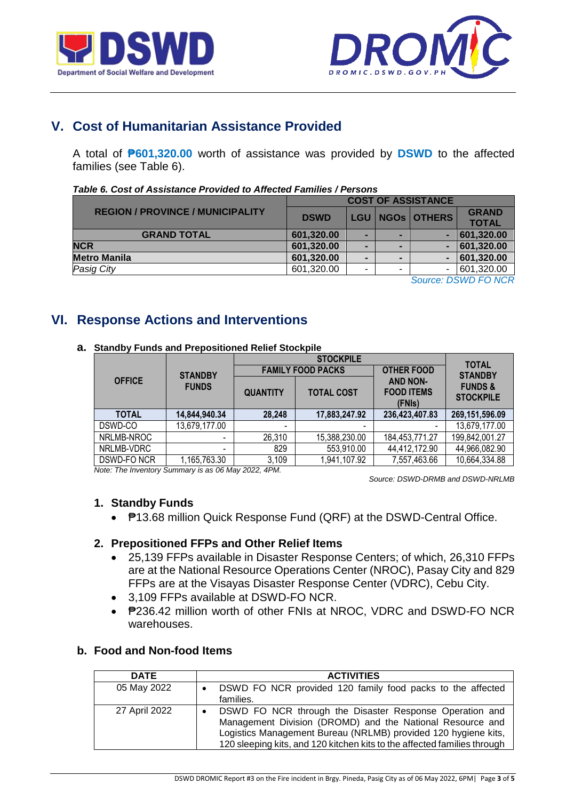



# **V. Cost of Humanitarian Assistance Provided**

A total of **₱601,320.00** worth of assistance was provided by **DSWD** to the affected families (see Table 6).

| <b>GRAND</b> |
|--------------|
| <b>TOTAL</b> |
| 601,320.00   |
| 601,320.00   |
| 601,320.00   |
| 601,320.00   |
|              |

#### *Table 6. Cost of Assistance Provided to Affected Families / Persons*

*Source: DSWD FO NCR*

## **VI. Response Actions and Interventions**

|               |                          |                          | <b>STOCKPILE</b>         |                                                | <b>TOTAL</b><br><b>STANDBY</b>         |  |
|---------------|--------------------------|--------------------------|--------------------------|------------------------------------------------|----------------------------------------|--|
|               | <b>STANDBY</b>           |                          | <b>FAMILY FOOD PACKS</b> | <b>OTHER FOOD</b>                              |                                        |  |
| <b>OFFICE</b> | <b>FUNDS</b>             | <b>QUANTITY</b>          | <b>TOTAL COST</b>        | <b>AND NON-</b><br><b>FOOD ITEMS</b><br>(FNIs) | <b>FUNDS &amp;</b><br><b>STOCKPILE</b> |  |
| <b>TOTAL</b>  | 14,844,940.34            | 28,248                   | 17,883,247.92            | 236,423,407.83                                 | 269,151,596.09                         |  |
| DSWD-CO       | 13,679,177.00            | $\overline{\phantom{0}}$ | $\overline{\phantom{0}}$ |                                                | 13,679,177.00                          |  |
| NRLMB-NROC    | -                        | 26,310                   | 15,388,230.00            | 184,453,771.27                                 | 199,842,001.27                         |  |
| NRLMB-VDRC    | $\overline{\phantom{0}}$ | 829                      | 553,910.00               | 44,412,172.90                                  | 44,966,082.90                          |  |
| DSWD-FONCR    | 1,165,763.30             | 3,109                    | 1,941,107.92             | 7,557,463.66                                   | 10,664,334.88                          |  |

#### **a. Standby Funds and Prepositioned Relief Stockpile**

*Note: The Inventory Summary is as 06 May 2022, 4PM.*

 *Source: DSWD-DRMB and DSWD-NRLMB*

### **1. Standby Funds**

₱13.68 million Quick Response Fund (QRF) at the DSWD-Central Office.

### **2. Prepositioned FFPs and Other Relief Items**

- 25,139 FFPs available in Disaster Response Centers; of which, 26,310 FFPs are at the National Resource Operations Center (NROC), Pasay City and 829 FFPs are at the Visayas Disaster Response Center (VDRC), Cebu City.
- 3,109 FFPs available at DSWD-FO NCR.
- P236.42 million worth of other FNIs at NROC, VDRC and DSWD-FO NCR warehouses.

## **b. Food and Non-food Items**

| <b>DATE</b>   | <b>ACTIVITIES</b>                                                                                                                                                                                                                                                               |
|---------------|---------------------------------------------------------------------------------------------------------------------------------------------------------------------------------------------------------------------------------------------------------------------------------|
| 05 May 2022   | DSWD FO NCR provided 120 family food packs to the affected<br>$\bullet$<br>families.                                                                                                                                                                                            |
| 27 April 2022 | DSWD FO NCR through the Disaster Response Operation and<br>$\bullet$<br>Management Division (DROMD) and the National Resource and<br>Logistics Management Bureau (NRLMB) provided 120 hygiene kits,<br>120 sleeping kits, and 120 kitchen kits to the affected families through |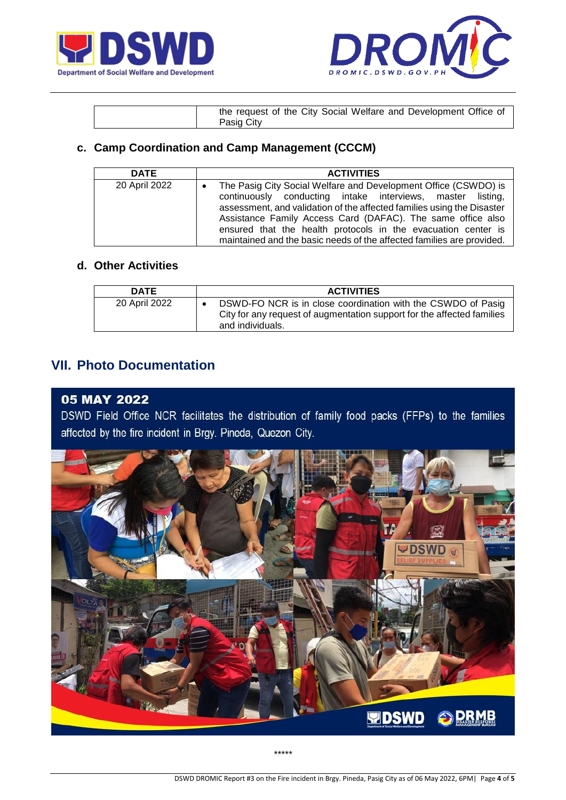



| the request of the City Social Welfare and Development Office of |
|------------------------------------------------------------------|
| Pasig City                                                       |

## **c. Camp Coordination and Camp Management (CCCM)**

| <b>DATE</b>   | <b>ACTIVITIES</b>                                                                                                                                                                                                                                                                                                                                                                                                |
|---------------|------------------------------------------------------------------------------------------------------------------------------------------------------------------------------------------------------------------------------------------------------------------------------------------------------------------------------------------------------------------------------------------------------------------|
| 20 April 2022 | The Pasig City Social Welfare and Development Office (CSWDO) is<br>continuously conducting intake interviews, master listing,<br>assessment, and validation of the affected families using the Disaster<br>Assistance Family Access Card (DAFAC). The same office also<br>ensured that the health protocols in the evacuation center is<br>maintained and the basic needs of the affected families are provided. |

## **d. Other Activities**

| <b>DATE</b>   | <b>ACTIVITIES</b>                                                                                                                                          |
|---------------|------------------------------------------------------------------------------------------------------------------------------------------------------------|
| 20 April 2022 | DSWD-FO NCR is in close coordination with the CSWDO of Pasig<br>City for any request of augmentation support for the affected families<br>and individuals. |

## **VII. Photo Documentation**

### 05 MAY 2022

DSWD Field Office NCR facilitates the distribution of family food packs (FFPs) to the families affected by the fire incident in Brgy. Pineda, Quezon City.